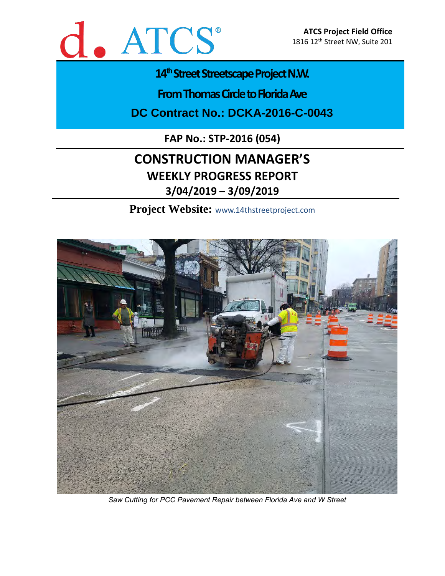

# 14<sup>th</sup> Street Streetscape Project N.W.

**From Thomas Circle to Florida Ave** 

**DC Contract No.: DCKA-2016-C-0043**

**FAP No.: STP-2016 (054)**

# **CONSTRUCTION MANAGER'S WEEKLY PROGRESS REPORT 3/04/2019 – 3/09/2019**

**Project Website:** www.14thstreetproject.com



*Saw Cutting for PCC Pavement Repair between Florida Ave and W Street*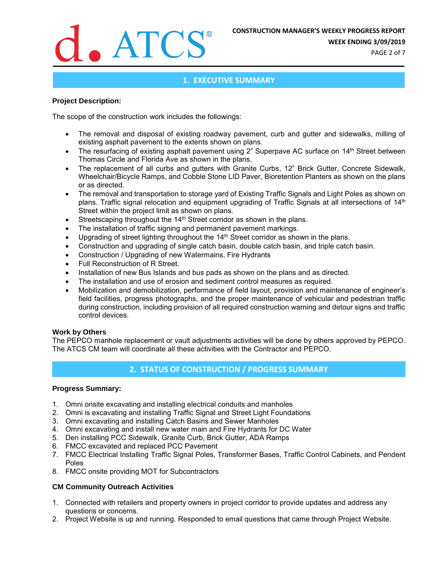

**WEEK ENDING 3/09/2019**

PAGE 2 of 7

## **1. EXECUTIVE SUMMARY**

#### **Project Description:**

The scope of the construction work includes the followings:

- The removal and disposal of existing roadway pavement, curb and gutter and sidewalks, milling of existing asphalt pavement to the extents shown on plans.
- The resurfacing of existing asphalt pavement using 2" Superpave AC surface on 14<sup>th</sup> Street between Thomas Circle and Florida Ave as shown in the plans.
- The replacement of all curbs and gutters with Granite Curbs, 12" Brick Gutter, Concrete Sidewalk, Wheelchair/Bicycle Ramps, and Cobble Stone LID Paver, Bioretention Planters as shown on the plans or as directed.
- The removal and transportation to storage yard of Existing Traffic Signals and Light Poles as shown on plans. Traffic signal relocation and equipment upgrading of Traffic Signals at all intersections of 14<sup>th</sup> Street within the project limit as shown on plans.
- Streetscaping throughout the 14<sup>th</sup> Street corridor as shown in the plans.
- The installation of traffic signing and permanent pavement markings.
- Upgrading of street lighting throughout the 14<sup>th</sup> Street corridor as shown in the plans.
- Construction and upgrading of single catch basin, double catch basin, and triple catch basin.
- Construction / Upgrading of new Watermains, Fire Hydrants
- Full Reconstruction of R Street.
- Installation of new Bus Islands and bus pads as shown on the plans and as directed.
- The installation and use of erosion and sediment control measures as required.
- Mobilization and demobilization, performance of field layout, provision and maintenance of engineer's field facilities, progress photographs, and the proper maintenance of vehicular and pedestrian traffic during construction, including provision of all required construction warning and detour signs and traffic control devices.

#### **Work by Others**

The PEPCO manhole replacement or vault adjustments activities will be done by others approved by PEPCO. The ATCS CM team will coordinate all these activities with the Contractor and PEPCO.

# **2. STATUS OF CONSTRUCTION / PROGRESS SUMMARY**

#### **Progress Summary:**

- 1. Omni onsite excavating and installing electrical conduits and manholes
- 2. Omni is excavating and installing Traffic Signal and Street Light Foundations
- 3. Omni excavating and installing Catch Basins and Sewer Manholes
- 4. Omni excavating and install new water main and Fire Hydrants for DC Water
- 5. Den installing PCC Sidewalk, Granite Curb, Brick Gutter, ADA Ramps
- 6. FMCC excavated and replaced PCC Pavement
- 7. FMCC Electrical Installing Traffic Signal Poles, Transformer Bases, Traffic Control Cabinets, and Pendent Poles
- 8. FMCC onsite providing MOT for Subcontractors

#### **CM Community Outreach Activities**

- 1. Connected with retailers and property owners in project corridor to provide updates and address any questions or concerns.
- 2. Project Website is up and running. Responded to email questions that came through Project Website.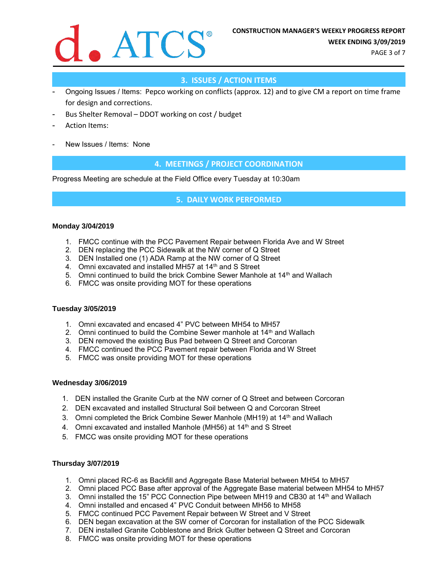

PAGE 3 of 7

# **3. ISSUES / ACTION ITEMS**

- Ongoing Issues / Items: Pepco working on conflicts (approx. 12) and to give CM a report on time frame for design and corrections.
- Bus Shelter Removal DDOT working on cost / budget
- Action Items:
- New Issues / Items: None

## **4. MEETINGS / PROJECT COORDINATION**

Progress Meeting are schedule at the Field Office every Tuesday at 10:30am

#### **5. DAILY WORK PERFORMED**

#### **Monday 3/04/2019**

- 1. FMCC continue with the PCC Pavement Repair between Florida Ave and W Street
- 2. DEN replacing the PCC Sidewalk at the NW corner of Q Street
- 3. DEN Installed one (1) ADA Ramp at the NW corner of Q Street
- 4. Omni excavated and installed MH57 at 14<sup>th</sup> and S Street
- 5. Omni continued to build the brick Combine Sewer Manhole at  $14<sup>th</sup>$  and Wallach
- 6. FMCC was onsite providing MOT for these operations

#### **Tuesday 3/05/2019**

- 1. Omni excavated and encased 4" PVC between MH54 to MH57
- 2. Omni continued to build the Combine Sewer manhole at 14<sup>th</sup> and Wallach
- 3. DEN removed the existing Bus Pad between Q Street and Corcoran
- 4. FMCC continued the PCC Pavement repair between Florida and W Street
- 5. FMCC was onsite providing MOT for these operations

#### **Wednesday 3/06/2019**

- 1. DEN installed the Granite Curb at the NW corner of Q Street and between Corcoran
- 2. DEN excavated and installed Structural Soil between Q and Corcoran Street
- 3. Omni completed the Brick Combine Sewer Manhole (MH19) at 14<sup>th</sup> and Wallach
- 4. Omni excavated and installed Manhole (MH56) at 14<sup>th</sup> and S Street
- 5. FMCC was onsite providing MOT for these operations

#### **Thursday 3/07/2019**

- 1. Omni placed RC-6 as Backfill and Aggregate Base Material between MH54 to MH57
- 2. Omni placed PCC Base after approval of the Aggregate Base material between MH54 to MH57
- 3. Omni installed the 15" PCC Connection Pipe between MH19 and CB30 at 14th and Wallach
- 4. Omni installed and encased 4" PVC Conduit between MH56 to MH58
- 5. FMCC continued PCC Pavement Repair between W Street and V Street
- 6. DEN began excavation at the SW corner of Corcoran for installation of the PCC Sidewalk
- 7. DEN installed Granite Cobblestone and Brick Gutter between Q Street and Corcoran
- 8. FMCC was onsite providing MOT for these operations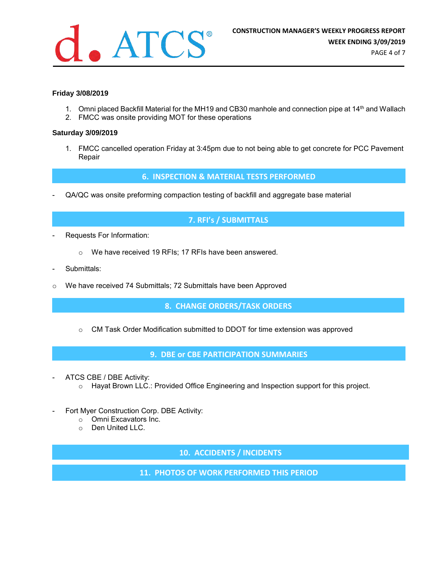

## **Friday 3/08/2019**

- 1. Omni placed Backfill Material for the MH19 and CB30 manhole and connection pipe at 14<sup>th</sup> and Wallach
- 2. FMCC was onsite providing MOT for these operations

#### **Saturday 3/09/2019**

1. FMCC cancelled operation Friday at 3:45pm due to not being able to get concrete for PCC Pavement Repair

#### **6. INSPECTION & MATERIAL TESTS PERFORMED**

- QA/QC was onsite preforming compaction testing of backfill and aggregate base material

## **7. RFI's / SUBMITTALS**

- Requests For Information:
	- o We have received 19 RFIs; 17 RFIs have been answered.
- Submittals:
- o We have received 74 Submittals; 72 Submittals have been Approved

#### **8. CHANGE ORDERS/TASK ORDERS**

o CM Task Order Modification submitted to DDOT for time extension was approved

#### **9. DBE or CBE PARTICIPATION SUMMARIES**

- ATCS CBE / DBE Activity:
	- $\circ$  Hayat Brown LLC.: Provided Office Engineering and Inspection support for this project.
- Fort Myer Construction Corp. DBE Activity:
	- o Omni Excavators Inc.
	- o Den United LLC.

**10. ACCIDENTS / INCIDENTS**

**11. PHOTOS OF WORK PERFORMED THIS PERIOD**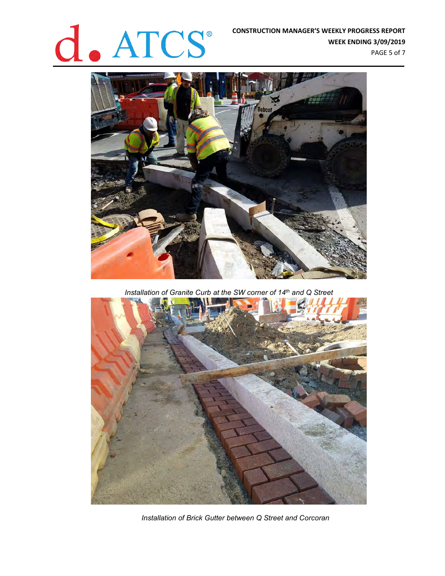

**WEEK ENDING 3/09/2019** PAGE 5 of 7



*Installation of Granite Curb at the SW corner of 14th and Q Street*



*Installation of Brick Gutter between Q Street and Corcoran*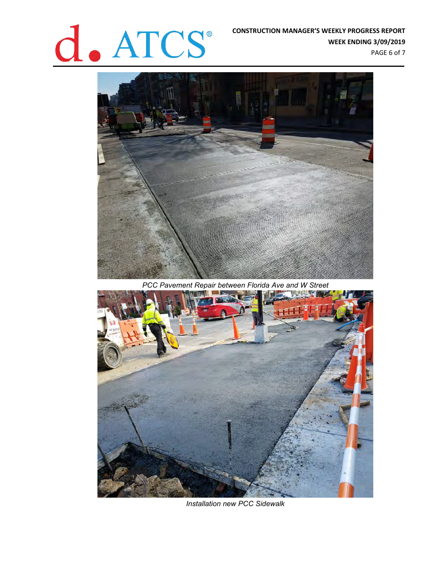# **CONSTRUCTION MANAGER'S WEEKLY PROGRESS REPORT**<br>WEEK ENDING 3/09/2019

**WEEK ENDING 3/09/2019** PAGE 6 of 7

*PCC Pavement Repair between Florida Ave and W Street*



*Installation new PCC Sidewalk*